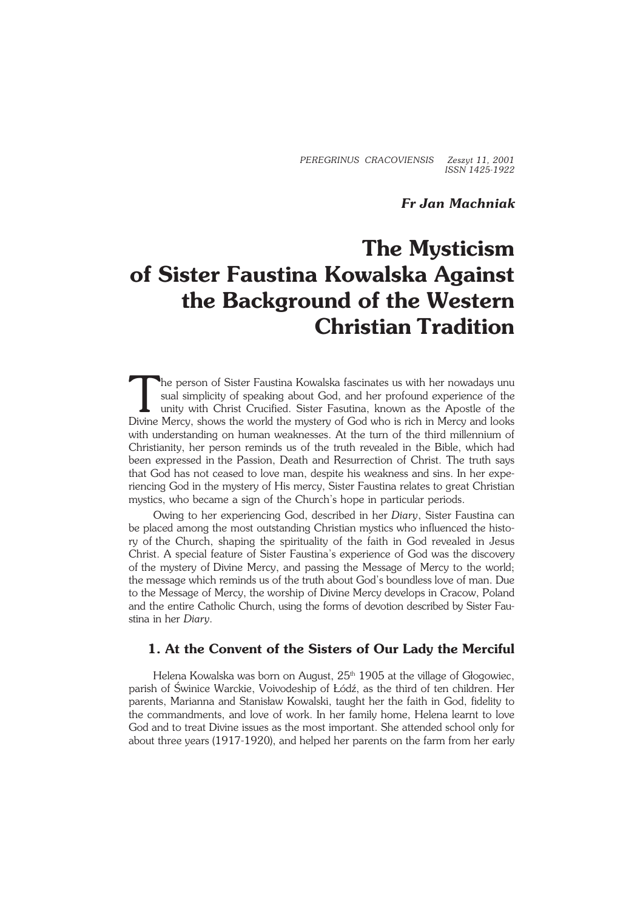*PEREGRINUS CRACOVIENSIS Zeszyt 11, 2001 ISSN 1425−1922*

# *Fr Jan Machniak*

# **The Mysticism of Sister Faustina Kowalska Against the Background of the Western Christian Tradition**

The person of Sister Faustina Kowalska fascinates us with her nowadays unu sual simplicity of speaking about God, and her profound experience of the unity with Christ Crucified. Sister Fasutina, known as the Apostle of the he person of Sister Faustina Kowalska fascinates us with her nowadays unu sual simplicity of speaking about God, and her profound experience of the unity with Christ Crucified. Sister Fasutina, known as the Apostle of the with understanding on human weaknesses. At the turn of the third millennium of Christianity, her person reminds us of the truth revealed in the Bible, which had been expressed inthe Passion, Death and Resurrection of Christ. The truth says that God has not ceased to love man, despite his weakness and sins. In her expe− riencing God in the mystery of His mercy, Sister Faustina relates to great Christian mystics, who became a sign of the Church's hope in particular periods.

Owing to her experiencing God, described in her *Diary*, Sister Faustina can be placed among the most outstanding Christian mystics who influenced the histo− ry of the Church, shaping the spirituality of the faith in God revealed in Jesus Christ. A special feature of Sister Faustina's experience of God was the discovery of the mystery of Divine Mercy, and passing the Message of Mercy to the world; the message which reminds us of the truth about God's boundless love of man. Due to the Message of Mercy, the worship of Divine Mercy develops in Cracow, Poland and the entire Catholic Church, using the forms of devotion described by Sister Fau− stina in her *Diary*.

# **1. At the Convent of the Sisters of Our Lady the Merciful**

Helena Kowalska was born on August,  $25<sup>th</sup>$  1905 at the village of Głogowiec, parish of Świnice Warckie, Voivodeship of Łódź, as the third of ten children. Her parents, Marianna and Stanisław Kowalski, taught her the faith in God, fidelity to the commandments, and love of work. In her family home, Helena learnt to love God and to treat Divine issues as the most important. She attended school only for about three years (1917−1920), and helped her parents on the farm from her early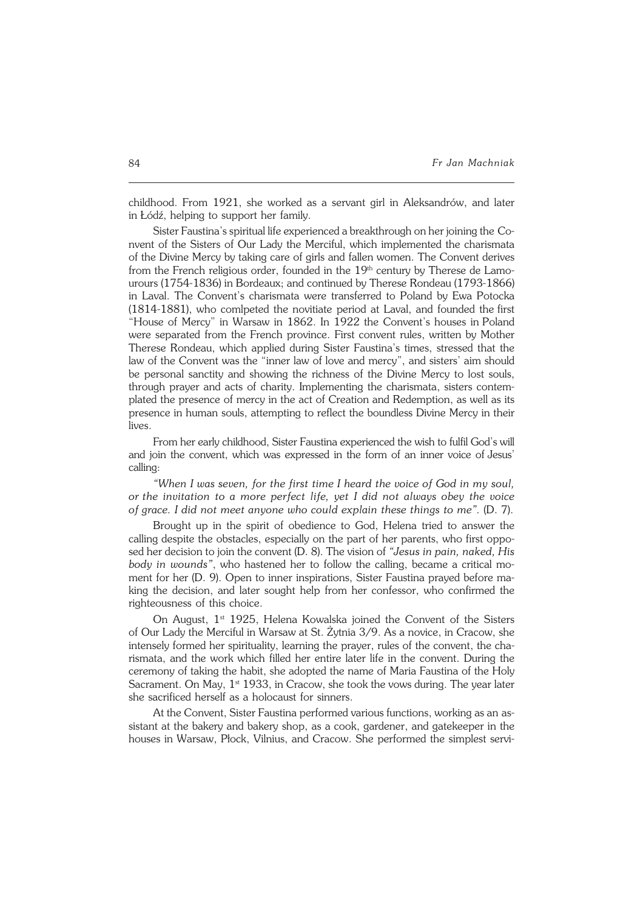childhood. From 1921, she worked as a servant girl in Aleksandrów, and later inŁódź, helping to support her family.

Sister Faustina's spiritual life experienced a breakthrough on her joining the Convent of the Sisters of Our Lady the Merciful, which implemented the charismata of the Divine Mercy by taking care of girls and fallen women. The Convent derives from the French religious order, founded in the  $19<sup>th</sup>$  century by Therese de Lamourours (1754-1836) in Bordeaux; and continued by Therese Rondeau (1793-1866) in Laval. The Convent's charismata were transferred to Poland by Ewa Potocka (1814−1881), who comlpeted the novitiate period at Laval, and founded the first "House of Mercy" in Warsaw in 1862. In 1922 the Convent's houses in Poland were separated from the French province. First convent rules, written by Mother Therese Rondeau, which applied during Sister Faustina's times, stressed that the law of the Convent was the "inner law of love and mercy", and sisters' aim should be personal sanctity and showing the richness of the Divine Mercy to lost souls, through prayer and acts of charity. Implementing the charismata, sisters contem− plated the presence of mercy in the act of Creation and Redemption, as well as its presence in human souls, attempting to reflect the boundless Divine Mercy in their lives.

From her early childhood, Sister Faustina experienced the wish to fulfil God's will and join the convent, which was expressed in the form of an inner voice of Jesus' calling:

*"When I was seven, for the first time I heard the voice of God in my soul, orthe invitation to a more perfect life, yet I did not always obey the voice ofgrace. I did not meet anyone who could explain these things to me".* (D. 7).

Brought up in the spirit of obedience to God, Helena tried to answer the calling despite the obstacles, especially on the part of her parents, who first oppo− sed her decision to join the convent (D. 8). The vision of *"Jesus in pain, naked, His body in wounds"*, who hastened her to follow the calling, became a critical mo− ment for her (D. 9). Open to inner inspirations, Sister Faustina prayed before ma− king the decision, and later sought help from her confessor, who confirmed the righteousness of this choice.

On August, 1<sup>st</sup> 1925, Helena Kowalska joined the Convent of the Sisters ofOur Lady the Merciful in Warsaw at St. Żytnia 3/9. As a novice, in Cracow, she intensely formed her spirituality, learning the prayer, rules of the convent, the cha− rismata, and the work which filled her entire later life in the convent. During the ceremony of taking the habit, she adopted the name of Maria Faustina of the Holy Sacrament. On May,  $1<sup>st</sup> 1933$ , in Cracow, she took the vows during. The year later she sacrificed herself as a holocaust for sinners.

At the Convent, Sister Faustina performed various functions, working as an as− sistant at the bakery and bakery shop, as a cook, gardener, and gatekeeper in the houses in Warsaw, Płock, Vilnius, and Cracow. She performed the simplest servi−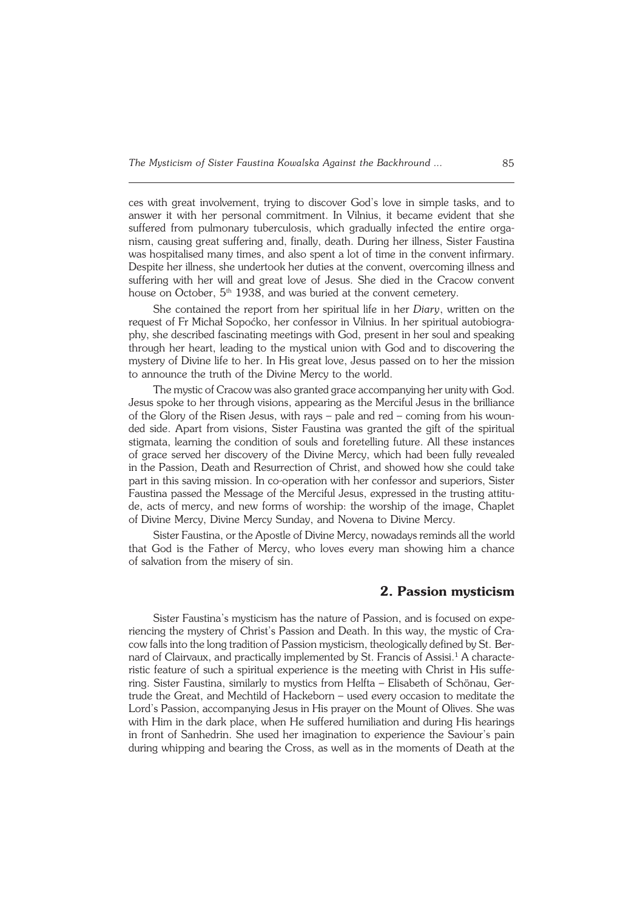ces with great involvement, trying to discover God's love in simple tasks, and to answer it with her personal commitment. In Vilnius, it became evident that she suffered from pulmonary tuberculosis, which gradually infected the entire orga− nism, causing great suffering and, finally, death. During her illness, Sister Faustina was hospitalised many times, and also spent a lot of time in the convent infirmary. Despite her illness, she undertook her duties at the convent, overcoming illness and suffering with her will and great love of Jesus. She died in the Cracow convent house on October, 5<sup>th</sup> 1938, and was buried at the convent cemetery.

She contained the report from her spiritual life in her *Diary*, written on the request of Fr Michał Sopoćko, her confessor in Vilnius. In her spiritual autobiogra− phy, she described fascinating meetings with God, present in her soul and speaking through her heart, leading to the mystical union with God and to discovering the mystery of Divine life to her. In His great love, Jesus passed on to her the mission to announce the truth of the Divine Mercy to the world.

The mystic of Cracow was also granted grace accompanying her unity with God. Jesus spoke to her through visions, appearing as the Merciful Jesus in the brilliance of the Glory of the Risen Jesus, with rays – pale and red – coming from his woun− ded side. Apart from visions, Sister Faustina was granted the gift of the spiritual stigmata, learning the condition of souls and foretelling future. All these instances of grace served her discovery of the Divine Mercy, which had been fully revealed in the Passion, Death and Resurrection of Christ, and showed how she could take part in this saving mission. In co−operation with her confessor and superiors, Sister Faustina passed the Message of the Merciful Jesus, expressed in the trusting attitu− de, acts of mercy, and new forms of worship: the worship of the image, Chaplet of Divine Mercy, Divine Mercy Sunday, and Novena to Divine Mercy.

Sister Faustina, or the Apostle of Divine Mercy, nowadays reminds all the world that God is the Father of Mercy, who loves every man showing him a chance of salvation from the misery of sin.

### **2. Passion mysticism**

Sister Faustina's mysticism has the nature of Passion, and is focused on expe− riencing the mystery of Christ's Passion and Death. In this way, the mystic of Cracow falls into the long tradition of Passion mysticism, theologically defined by St. Ber− nard of Clairvaux, and practically implemented by St. Francis of Assisi.<sup>1</sup> A characteristic feature of such a spiritual experience is the meeting with Christ in His suffe− ring. Sister Faustina, similarly to mystics from Helfta – Elisabeth of Schönau, Ger− trude the Great, and Mechtild of Hackeborn – used every occasion to meditate the Lord's Passion, accompanying Jesus in His prayer on the Mount of Olives. She was with Him in the dark place, when He suffered humiliation and during His hearings in front of Sanhedrin. She used her imagination to experience the Saviour's pain during whipping and bearing the Cross, as well as in the moments of Death at the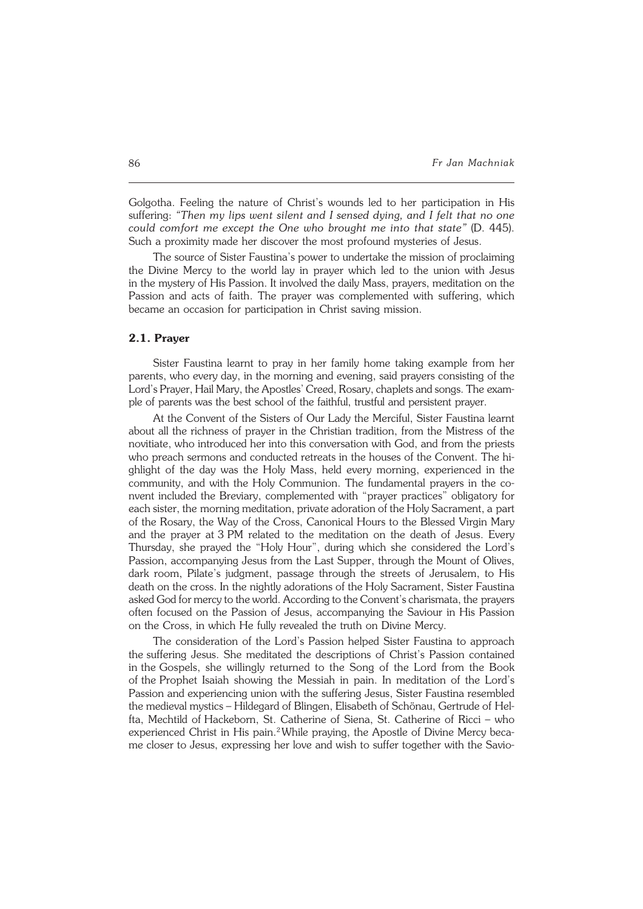Golgotha. Feeling the nature of Christ's wounds led to her participation in His suffering: *"Then my lips went silent and I sensed dying, and I felt that no one could comfort me except the One who brought me into that state"* (D. 445). Such a proximity made her discover the most profound mysteries of Jesus.

The source of Sister Faustina's power to undertake the mission of proclaiming the Divine Mercy to the world lay in prayer which led to the union with Jesus in the mystery of His Passion. It involved the daily Mass, prayers, meditation on the Passion and acts of faith. The prayer was complemented with suffering, which became an occasion for participation in Christ saving mission.

#### **2.1. Prayer**

Sister Faustina learnt to pray in her family home taking example from her parents, who every day, in the morning and evening, said prayers consisting of the Lord's Prayer, Hail Mary, the Apostles' Creed, Rosary, chaplets and songs. The example of parents was the best school of the faithful, trustful and persistent prayer.

At the Convent of the Sisters of Our Lady the Merciful, Sister Faustina learnt about all the richness of prayer in the Christian tradition, from the Mistress of the novitiate, who introduced her into this conversation with God, and from the priests who preach sermons and conducted retreats in the houses of the Convent. The hi− ghlight of the day was the Holy Mass, held every morning, experienced in the community, and with the Holy Communion. The fundamental prayers in the co− nvent included the Breviary, complemented with "prayer practices" obligatory for each sister, the morning meditation, private adoration of the Holy Sacrament, a part of the Rosary, the Way of the Cross, Canonical Hours to the Blessed Virgin Mary and the prayer at3PM related to the meditation on the death of Jesus. Every Thursday, she prayed the "Holy Hour", during which she considered the Lord's Passion, accompanying Jesus from the Last Supper, through the Mount of Olives, dark room, Pilate's judgment, passage through the streets of Jerusalem, to His death on the cross. In the nightly adorations of the Holy Sacrament, Sister Faustina asked God for mercy to the world. According to the Convent's charismata, the prayers often focused on the Passion of Jesus, accompanying the Saviour in His Passion on the Cross, in which He fully revealed the truth on Divine Mercy.

The consideration of the Lord's Passion helped Sister Faustina to approach the suffering Jesus. She meditated the descriptions of Christ's Passion contained in the Gospels, she willingly returned to the Song of the Lord from the Book of the Prophet Isaiah showing the Messiah in pain. In meditation of the Lord's Passion and experiencing union with the suffering Jesus, Sister Faustina resembled the medieval mystics – Hildegard of Blingen, Elisabeth of Schönau, Gertrude of Hel− fta, Mechtild of Hackeborn, St. Catherine of Siena, St. Catherine of Ricci - who experienced Christ in His pain.<sup>2</sup>While praying, the Apostle of Divine Mercy became closer to Jesus, expressing her love and wish to suffer together with the Savio−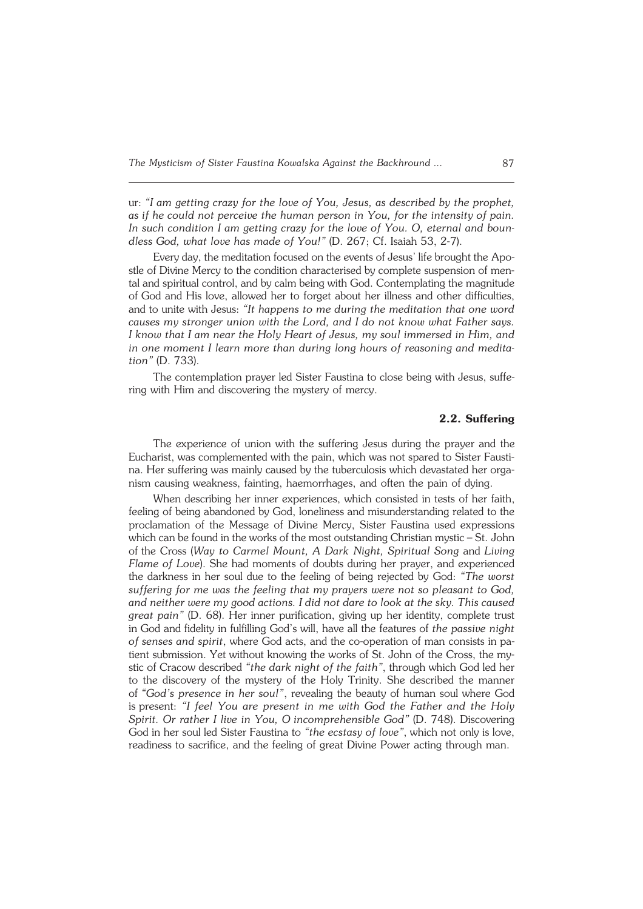ur: *"I am getting crazy for the love of You, Jesus, as described by the prophet, asif he could not perceive the human person in You, for the intensity of pain. In such condition I am getting crazy for the love of You. O, eternal and boun− dless God, what love has made ofYou!"* (D. 267; Cf. Isaiah 53, 2−7).

Every day, the meditation focused on the events of Jesus' life brought theApo− stle of Divine Mercy to the condition characterised by complete suspension of men− tal and spiritual control, and by calm being with God. Contemplating the magnitude ofGod and His love, allowed her to forget about her illness and other difficulties, and to unite with Jesus: "It happens to me during the meditation that one word *causes my stronger union with the Lord, and I do not know what Father says. Iknow that I am near the Holy Heart of Jesus, my soul immersed in Him, and in one moment I learn more than during long hours of reasoning and medita− tion"*(D.733).

The contemplation prayer led Sister Faustina to close being with Jesus, suffe− ring with Him and discovering the mystery of mercy.

# **2.2. Suffering**

The experience of union with the suffering Jesus during the prayer and the Eucharist, was complemented with the pain, which was not spared to Sister Fausti− na. Her suffering was mainly caused by the tuberculosis which devastated her orga− nism causing weakness, fainting, haemorrhages, and often the pain of dying.

When describing her inner experiences, which consisted in tests of her faith, feeling of being abandoned by God, loneliness and misunderstanding related to the proclamation of the Message of Divine Mercy, Sister Faustina used expressions which can be found in the works of the most outstanding Christian mystic  $-$  St. John ofthe Cross (*Way to Carmel Mount, A Dark Night, Spiritual Song* and *Living Flame of Love*). She had moments of doubts during her prayer, and experienced the darkness in her soul due to the feeling of being rejected by God: *"The worst suffering for me was the feeling that my prayers were not so pleasant to God, and neither were my good actions. I did not dare to look at the sky. This caused great pain"* (D. 68). Her inner purification, giving up her identity, complete trust in God and fidelity in fulfilling God's will, have all the features of *the passive night* of senses and spirit, where God acts, and the co-operation of man consists in pa− tient submission. Yet without knowing the works of St. John of the Cross, the mystic of Cracow described *"the dark night of the faith"*, through which God led her to the discovery of the mystery of the Holy Trinity. She described the manner of*"God's presence in her soul"*, revealing the beauty of human soul where God ispresent: *"I feel You are present in me with God the Father and the Holy Spirit. Or rather I live in You, Oincomprehensible God"* (D. 748). Discovering God in her soul led Sister Faustina to "the ecstasy of love", which not only is love, readiness to sacrifice, and the feeling of great Divine Power acting through man.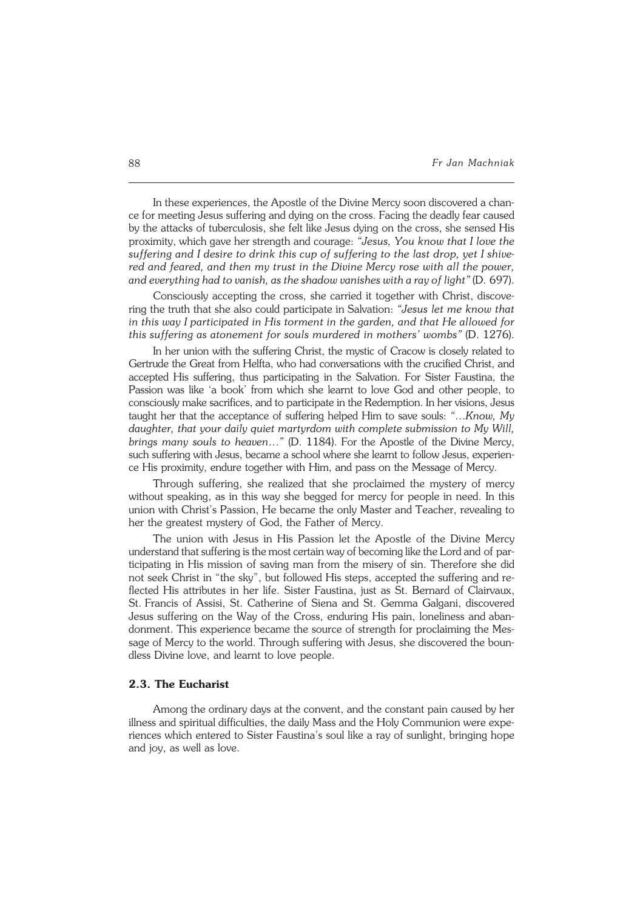In these experiences, the Apostle of the Divine Mercy soon discovered a chan− ce for meeting Jesus suffering and dying on the cross. Facing the deadly fear caused by the attacks of tuberculosis, she felt like Jesus dying on the cross, she sensed His proximity, which gave her strength and courage: *"Jesus, You know that I love the suffering and I desire to drink this cup of suffering to the last drop, yet I shive− red and feared, and then my trust in the Divine Mercy rose with all the power, and everything had to vanish, as the shadow vanishes with a ray of light"* (D.697).

Consciously accepting the cross, she carried it together with Christ, discove− ring the truth that she also could participate in Salvation: *"Jesus let me know that in this way I participated in His torment in the garden, and that He allowed for this suffering as atonement for souls murdered in mothers' wombs"* (D. 1276).

In her union with the suffering Christ, the mystic of Cracow is closely related to Gertrude the Great from Helfta, who had conversations with the crucified Christ, and accepted His suffering, thus participating in the Salvation. For Sister Faustina, the Passion was like 'a book' from which she learnt to love God and other people, to consciously make sacrifices, and to participate in the Redemption. In her visions, Jesus taught her that the acceptance of suffering helped Him to save souls: *"*…*Know, My daughter, that your daily quiet martyrdom with complete submission to My Will, brings many souls to heaven…"* (D. 1184). For the Apostle of the Divine Mercy, such suffering with Jesus, became a school where she learnt to follow Jesus, experien− ce His proximity, endure together with Him, and pass on the Message of Mercy.

Through suffering, she realized that she proclaimed the mystery of mercy without speaking, as in this way she begged for mercy for people in need. In this union with Christ's Passion, He became the only Master and Teacher, revealing to her the greatest mystery of God, the Father of Mercy.

The union with Jesus in His Passion let the Apostle of the Divine Mercy understand that suffering is the most certain way of becoming like the Lord and of par− ticipating in His mission of saving man from the misery of sin. Therefore she did not seek Christ in "the sky", but followed His steps, accepted the suffering andre− flected His attributes in her life. Sister Faustina, just as St. Bernard of Clairvaux, St.Francis of Assisi, St. Catherine of Siena and St. Gemma Galgani, discovered Jesus suffering on the Way of the Cross, enduring His pain, loneliness andaban− donment. This experience became the source of strength for proclaiming the Mes− sage of Mercy to the world. Through suffering with Jesus, she discovered the boun− dless Divine love, and learnt to love people.

### **2.3. The Eucharist**

Among the ordinary days at the convent, and the constant pain caused by her illness and spiritual difficulties, the daily Mass and the Holy Communion were expe− riences which entered to Sister Faustina's soul like a ray of sunlight, bringing hope and joy, as well as love.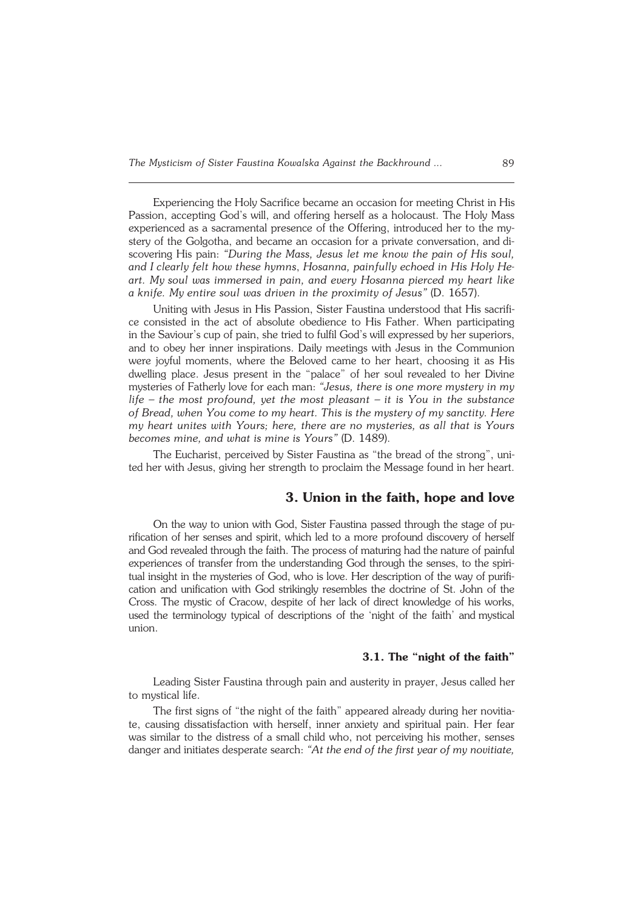Experiencing the Holy Sacrifice became an occasion for meeting Christ in His Passion, accepting God's will, and offering herself as a holocaust. The Holy Mass experienced as a sacramental presence of the Offering, introduced her to the my− stery of the Golgotha, and became an occasion for a private conversation, anddi− scovering His pain: *"During the Mass, Jesus let me know the pain of His soul,* and I clearly felt how these hymns, *Hosanna, painfully echoed in His Holy He− art. Mysoul was immersed in pain, and every Hosanna pierced my heart like aknife. Myentire soul was driven in the proximity of Jesus"* (D. 1657).

Uniting with Jesus in His Passion, Sister Faustina understood that His sacrifi− ce consisted in the act of absolute obedience to His Father. When participating in the Saviour's cup of pain, she tried to fulfil God's will expressed by her superiors, and to obey her inner inspirations. Daily meetings with Jesus in the Communion were joyful moments, where the Beloved came to her heart, choosing it as His dwelling place. Jesus present in the "palace" of her soul revealed to her Divine mysteries of Fatherly love for each man: *"Jesus, there is one more mystery in my life – the most profound, yet the most pleasant – it is You in the substance ofBread, when You come to my heart. This is the mystery of my sanctity. Here my heart unites with Yours; here, there are no mysteries, as all that is Yours becomes mine, and what is mine is Yours"* (D. 1489).

The Eucharist, perceived by Sister Faustina as "the bread of the strong", uni− ted her with Jesus, giving her strength to proclaim the Message found in her heart.

## **3. Union in the faith, hope and love**

On the way to union with God, Sister Faustina passed through the stage of pu− rification of her senses and spirit, which led to a more profound discovery of herself and God revealed through the faith. The process of maturing had the nature of painful experiences of transfer from the understanding God through the senses, to the spiri− tual insight in the mysteries of God, who is love. Her description of the way of purification and unification with God strikingly resembles the doctrine of St. John of the Cross. The mystic of Cracow, despite of her lack of direct knowledge of his works, used the terminology typical of descriptions of the 'night of the faith' andmystical union.

## **3.1. The "night of the faith"**

Leading Sister Faustina through pain and austerity in prayer, Jesus called her to mystical life.

The first signs of "the night of the faith" appeared already during her novitiate, causing dissatisfaction with herself, inner anxiety and spiritual pain. Her fear was similar to the distress of a small child who, not perceiving his mother, senses danger and initiates desperate search: *"At the end of the first year of my novitiate,*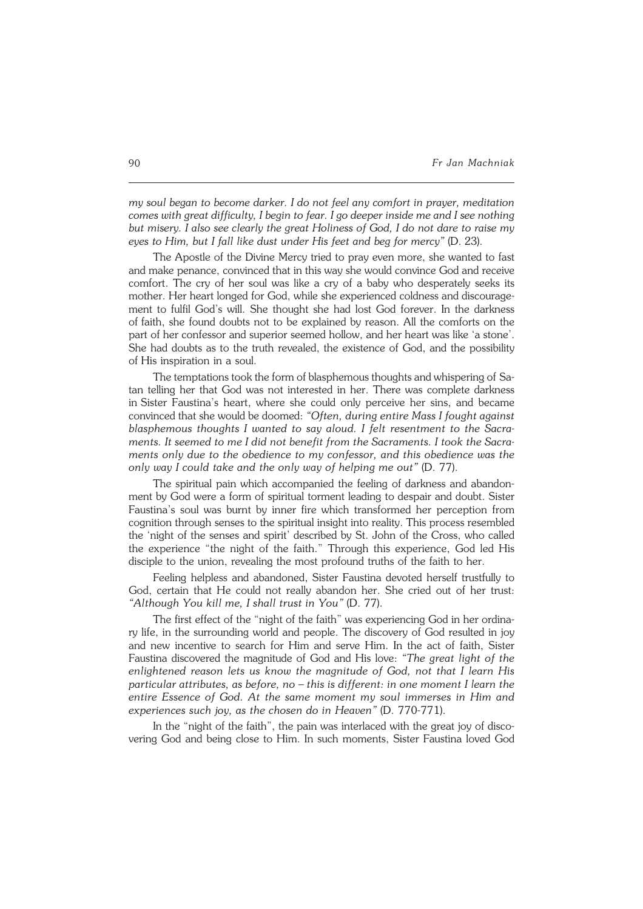*my soul began to become darker. I do not feel any comfort in prayer, meditation comes with great difficulty, I begin to fear. I go deeper inside me and I see nothing but misery. I also see clearly the great Holiness of God, I do not dare to raise my eyes to Him, but I fall like dust under His feet and beg for mercy"* (D.23).

The Apostle of the Divine Mercy tried to pray even more, she wanted to fast and make penance, convinced that in this way she would convince God and receive comfort. The cry of her soul was like a cry of a baby who desperately seeks its mother. Her heart longed for God, while she experienced coldness and discourage− ment to fulfil God's will. She thought she had lost God forever. In the darkness offaith, she found doubts not to be explained by reason. All the comforts on the part of her confessor and superior seemed hollow, and her heart was like 'a stone'. She had doubts as to the truth revealed, the existence of God, and the possibility ofHis inspiration in a soul.

The temptations took the form of blasphemous thoughts and whispering of Sa− tan telling her that God was not interested in her. There was complete darkness in Sister Faustina's heart, where she could only perceive her sins, and became convinced that she would be doomed: *"Often, during entire Mass I fought against blasphemous thoughts I wanted to say aloud. I felt resentment to the Sacra− ments. It seemed to me I did not benefit from the Sacraments. I took the Sacra− ments only due to the obedience to my confessor, and this obedience was the only way I could take and the only way of helping me out"* (D. 77).

The spiritual pain which accompanied the feeling of darkness and abandon− ment by God were a form of spiritual torment leading to despair and doubt. Sister Faustina's soul was burnt by inner fire which transformed her perception from cognition through senses to the spiritual insight into reality. This process resembled the 'night of the senses and spirit' described by St. John of the Cross, who called the experience "the night of the faith." Through this experience, God led His disciple to the union, revealing the most profound truths of the faith to her.

Feeling helpless and abandoned, Sister Faustina devoted herself trustfully to God, certain that He could not really abandon her. She cried out of her trust: *"Although You kill me, I shall trust in You"* (D. 77).

The first effect of the "night of the faith" was experiencing God in her ordina− ry life, in the surrounding world and people. The discovery of God resulted in joy and new incentive to search for Him and serve Him. In the act of faith, Sister Faustina discovered the magnitude of God and His love: *"The great light of the enlightened reason lets us know the magnitude of God, not that I learn His particular attributes, as before, no – this is different: in one moment I learn the entire Essence of God. At the same moment my soul immerses in Him and experiences such joy, as the chosen do in Heaven"* (D. 770−771).

In the "night of the faith", the pain was interlaced with the great joy of disco− vering God and being close to Him. In such moments, Sister Faustina loved God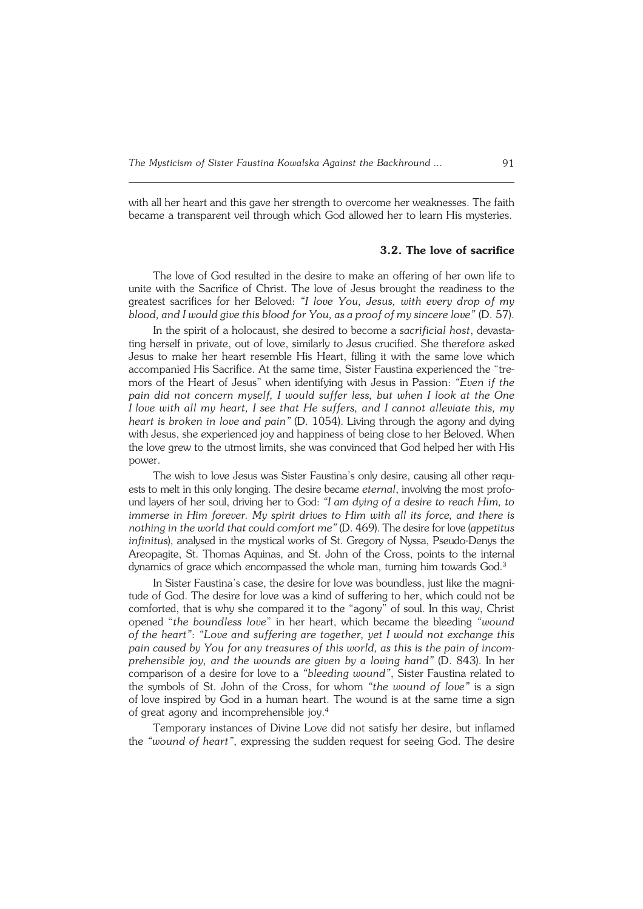with all her heart and this gave her strength to overcome her weaknesses. The faith became a transparent veil through which God allowed her to learn His mysteries.

#### **3.2. The love of sacrifice**

The love of God resulted in the desire to make an offering of her own life to unite with the Sacrifice of Christ. The love of Jesus brought the readiness to the greatest sacrifices for her Beloved: *"I love You, Jesus, with every drop of my blood, and I would give this blood for You, as a proof of my sincere love"*(D.57).

In the spirit of a holocaust, she desired to become a *sacrificial host*, devasta− ting herself in private, out of love, similarly to Jesus crucified. She therefore asked Jesus to make her heart resemble His Heart, filling it with the same love which accompanied His Sacrifice. At the same time, Sister Faustina experienced the "tre− mors of the Heart of Jesus" when identifying with Jesus in Passion: *"Even if the pain did not concern myself, I would suffer less, but when I look at the One Ilove with all my heart, I see that He suffers, and I cannot alleviate this, my heart is broken in love and pain"* (D. 1054). Living through the agony and dying with Jesus, she experienced joy and happiness of being close to her Beloved. When the love grew to the utmost limits, she was convinced that God helped her with His power.

The wish to love Jesus was Sister Faustina's only desire, causing all other requ− ests to melt in this only longing. The desire became *eternal*, involving the most profo− und layers of her soul, driving her to God: *"I am dying of a desire to reach Him, to immerse in Him forever. My spirit drives to Him with all its force, and there is nothing in the world that could comfort me"* (D. 469). The desire for love (*appetitus infinitus*), analysed in the mystical works of St. Gregory of Nyssa, Pseudo−Denys the Areopagite, St. Thomas Aquinas, and St. John of the Cross, points to the internal dynamics of grace which encompassed the whole man, turning him towards God.<sup>3</sup>

In Sister Faustina's case, the desire for love was boundless, just like the magni− tude of God. The desire for love was a kind of suffering to her, which could not be comforted, that is why she compared it to the "agony" of soul. In this way, Christ opened "*the boundless love*" in her heart, which became the bleeding *"wound ofthe heart"*: *"Love and suffering are together, yet I would not exchange this pain caused by You for any treasures of this world, as this is the pain of incom− prehensible joy, and the wounds are given by a loving hand"* (D. 843). In her comparison of a desire for love to a *"bleeding wound"*, Sister Faustina related to the symbols of St. John of the Cross, for whom *"the wound of love"* is a sign oflove inspired by God in a human heart. The wound is at the same time a sign of great agony and incomprehensible joy.<sup>4</sup>

Temporary instances of Divine Love did not satisfy her desire, but inflamed the *"wound of heart"*, expressing the sudden request for seeing God. The desire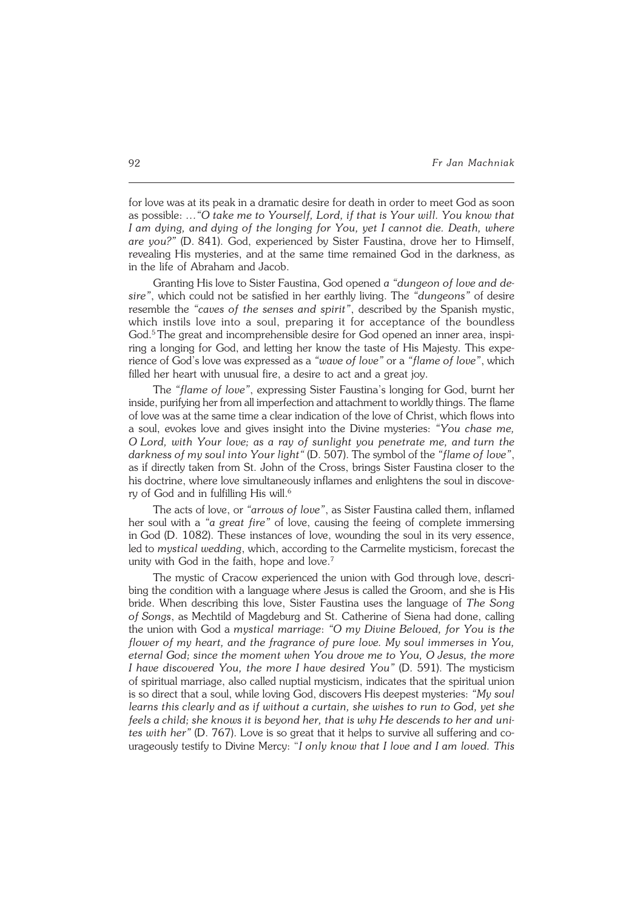for love was at its peak in a dramatic desire for death in order to meet God as soon aspossible: *…"O take me to Yourself, Lord, if that is Your will. You know that* I am dying, and dying of the longing for You, yet I cannot die. Death, where *are you?"* (D.841). God, experienced by Sister Faustina, drove her to Himself, revealing His mysteries, and at the same time remained God in the darkness, as in the life of Abraham and Jacob.

Granting His love to Sister Faustina, God opened *a "dungeon of love and desire"*, which could not be satisfied in her earthly living. The *"dungeons"* of desire resemble the *"caves of the senses and spirit"*, described by the Spanish mystic, which instils love into a soul, preparing it for acceptance of the boundless God.<sup>5</sup>The great and incomprehensible desire for God opened an inner area, inspi− ring a longing for God, and letting her know the taste of His Majesty. This expe− rience of God's love was expressed as a *"wave of love"* or a *"flame of love"*, which filled her heart with unusual fire, a desire to act and a great joy.

The *"flame of love"*, expressing Sister Faustina's longing for God, burnt her inside, purifying her from all imperfection and attachment to worldly things. Theflame of love was at the same time a clear indication of the love of Christ, which flows into a soul, evokes love and gives insight into the Divine mysteries: *"You chase me, O Lord, with Your love; as a ray of sunlight you penetrate me, and turn the* darkness of my soul into Your light" (D. 507). The symbol of the "flame of love", as if directly taken from St. John of the Cross, brings Sister Faustina closer to the his doctrine, where love simultaneously inflames and enlightens the soul in discove− ry of God and in fulfilling His will.<sup>6</sup>

The acts of love, or *"arrows of love"*, as Sister Faustina called them, inflamed her soul with a *"a great fire"* of love, causing the feeing of complete immersing inGod (D. 1082). These instances of love, wounding the soul in its very essence, led to *mystical wedding*, which, according to the Carmelite mysticism, forecast the unity with God in the faith, hope and love.<sup>7</sup>

The mystic of Cracow experienced the union with God through love, descri− bing the condition with a language where Jesus is called the Groom, and she is His bride. When describing this love, Sister Faustina uses the language of *The Song ofSongs*, as Mechtild of Magdeburg and St. Catherine of Siena had done, calling the union with God a *mystical marriage*: *"O my Divine Beloved, for You is the flower of my heart, and the fragrance of pure love. My soul immerses in You, eternal God; since the moment when You drove me to You, O Jesus, the more I have discovered You, the more I have desired You"* (D. 591). The mysticism ofspiritual marriage, also called nuptial mysticism, indicates that the spiritual union is so direct that asoul, while loving God, discovers His deepest mysteries: *"My soul learns this clearly and as if without a curtain, she wishes to run to God, yet she* feels a child; she knows it is beyond her, that is why He descends to her and uni− *tes with her"* (D.767). Love is so great that it helps to survive all suffering and courageously testify to Divine Mercy: "*I only know that I love and I am loved. This*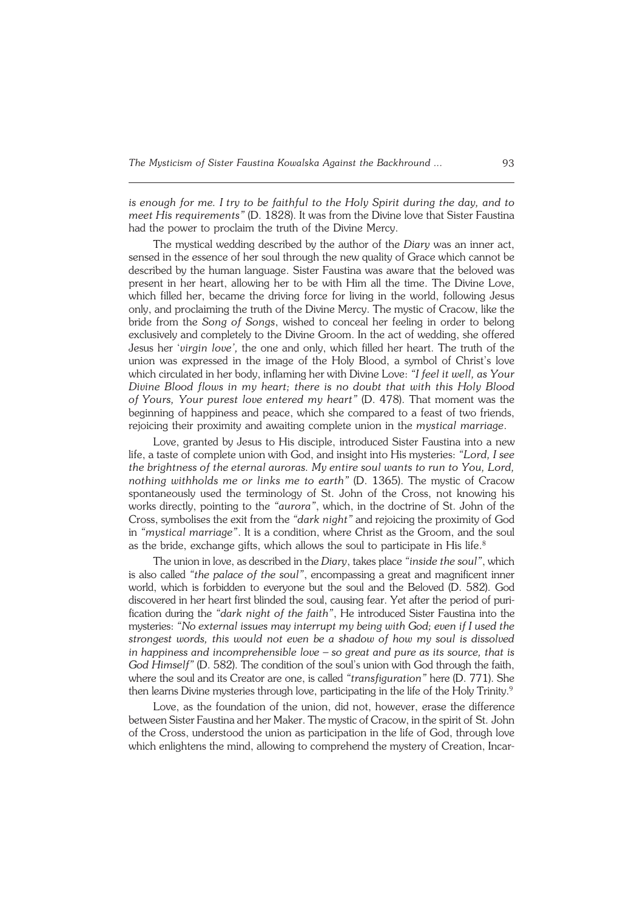*is enough for me. Itry to be faithful to the Holy Spirit during the day, and to meet His requirements"* (D. 1828). It was from the Divine love that Sister Faustina had the power to proclaim the truth of the Divine Mercy.

The mystical wedding described by the author of the *Diary* was an inner act, sensed in the essence of her soul through the new quality of Grace which cannot be described by the human language. Sister Faustina was aware that the beloved was present in her heart, allowing her to be with Him all the time. The Divine Love, which filled her, became the driving force for living in the world, following Jesus only, and proclaiming the truth of the Divine Mercy. The mystic of Cracow, like the bride from the *Song of Songs*, wished to conceal her feeling in order to belong exclusively and completely to the Divine Groom. In the act of wedding, she offered Jesus her '*virgin love',* the one and only, which filled her heart. The truth of the union was expressed in the image of the Holy Blood, a symbol of Christ's love which circulated in her body, inflaming her with Divine Love: *"I feel it well, as Your Divine Blood flows in my heart; there is no doubt that with this Holy Blood ofYours, Your purest love entered my heart"* (D. 478). That moment was the beginning of happiness and peace, which she compared to a feast of two friends, rejoicing their proximity and awaiting complete union in the *mystical marriage*.

Love, granted by Jesus to His disciple, introduced Sister Faustina into a new life, a taste of complete union with God, and insight into His mysteries: *"Lord, I see the brightness of the eternal auroras. My entire soul wants to run to You, Lord, nothing withholds me or links me to earth"* (D. 1365). The mystic of Cracow spontaneously used the terminology of St. John of the Cross, not knowing his works directly, pointing to the *"aurora"*, which, in the doctrine of St. John of the Cross, symbolises the exit from the "dark night" and rejoicing the proximity of God in *"mystical marriage"*. It is a condition, where Christ as the Groom, and the soul as the bride, exchange gifts, which allows the soul to participate in His life.<sup>8</sup>

The union in love, as described in the *Diary*, takes place *"inside the soul"*, which is also called *"the palace of the soul"*, encompassing a great and magnificent inner world, which is forbidden to everyone but the soul and the Beloved (D. 582). God discovered in her heart first blinded the soul, causing fear. Yet after the period of puri− fication during the *"dark night of the faith"*, He introduced Sister Faustina into the mysteries: *"No external issues may interrupt my being with God; even if I used the strongest words, this would not even be a shadow of how my soul is dissolved* in happiness and incomprehensible love – so great and pure as its source, that is *God Himself"* (D. 582). The condition of the soul's union with God through the faith, where the soul and its Creator are one, is called *"transfiguration"* here (D. 771). She then learns Divine mysteries through love, participating in the life of the Holy Trinity.<sup>9</sup>

Love, as the foundation of the union, did not, however, erase the difference between Sister Faustina and her Maker. The mystic of Cracow, in the spirit of St. John of the Cross, understood the union as participation in the life of God, through love which enlightens the mind, allowing to comprehend the mystery of Creation, Incar−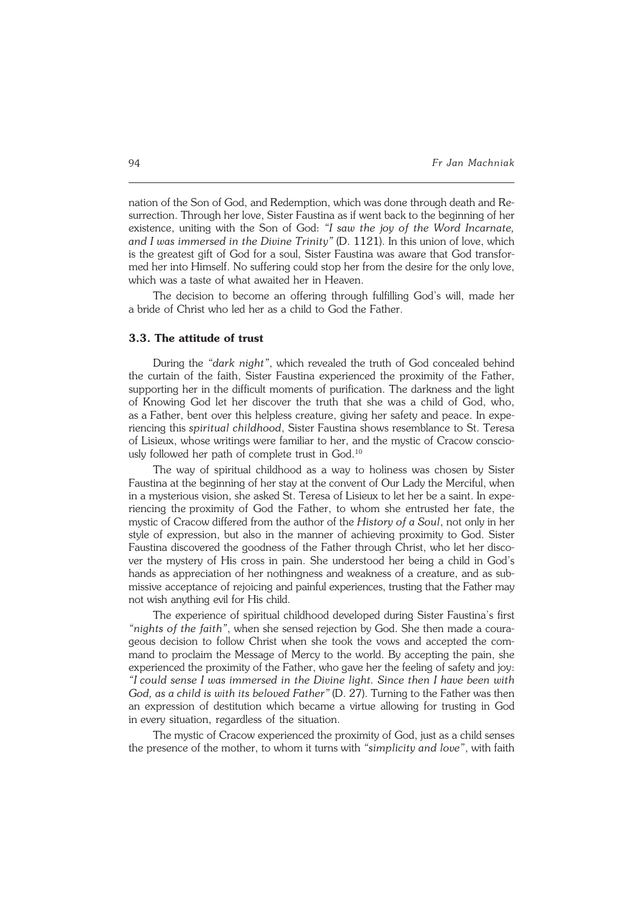nation of the Son of God, and Redemption, which was done through death and Re− surrection. Through her love, Sister Faustina as if went back to the beginning of her existence, uniting with the Son of God: *"I saw the joy of the Word Incarnate, andIwas immersed in the Divine Trinity"* (D. 1121). In this union of love, which is the greatest gift of God for a soul, Sister Faustina was aware that God transfor− med her into Himself. No suffering could stop her from the desire for the only love, which was a taste of what awaited her in Heaven.

The decision to become an offering through fulfilling God's will, made her abride of Christ who led her as a child to God the Father.

## **3.3. The attitude of trust**

During the *"dark night"*, which revealed the truth of God concealed behind the curtain of the faith, Sister Faustina experienced the proximity of the Father, supporting her in the difficult moments of purification. The darkness and the light of Knowing God let her discover the truth that she was a child of God, who, as a Father, bent over this helpless creature, giving her safety and peace. In expe− riencing this *spiritual childhood*, Sister Faustina shows resemblance to St. Teresa of Lisieux, whose writings were familiar to her, and the mystic of Cracow conscio− usly followed her path of complete trust in God.<sup>10</sup>

The way of spiritual childhood as a way to holiness was chosen by Sister Faustina at the beginning of her stay at the convent of Our Lady the Merciful, when in a mysterious vision, she asked St. Teresa of Lisieux to let her be a saint. In expe− riencing the proximity of God the Father, to whom she entrusted her fate, the mystic of Cracow differed from the author of the *History of a Soul*, not only in her style of expression, but also in the manner of achieving proximity to God. Sister Faustina discovered the goodness of the Father through Christ, who let her disco− ver the mystery of His cross in pain. She understood her being a child in God's hands as appreciation of her nothingness and weakness of a creature, and as sub− missive acceptance of rejoicing and painful experiences, trusting that the Father may not wish anything evil for His child.

The experience of spiritual childhood developed during Sister Faustina's first *"nights of the faith"*, when she sensed rejection by God. She then made a coura− geous decision to follow Christ when she took the vows and accepted the com− mand to proclaim the Message of Mercy to the world. By accepting the pain, she experienced the proximity of the Father, who gave her the feeling of safety and joy: *"Icould sense I was immersed in the Divine light. Since then I have been with God, as a child is with its beloved Father"* (D. 27). Turning to the Father was then an expression of destitution which became a virtue allowing for trusting in God in every situation, regardless of the situation.

The mystic of Cracow experienced the proximity of God, just as a child senses the presence of the mother, to whom it turns with *"simplicity and love"*, with faith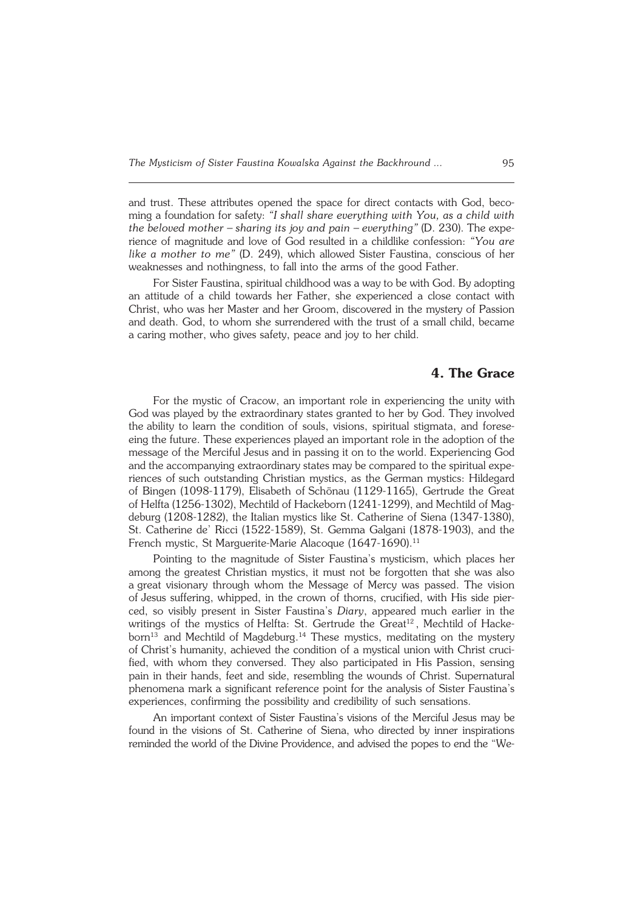and trust. These attributes opened the space for direct contacts with God, beco− ming a foundation for safety: *"I shall share everything with You, as a child with the beloved mother – sharing its joy and pain – everything"* (D. 230). The expe− rience of magnitude and love of God resulted in a childlike confession: *"You are like a mother to me"* (D. 249), which allowed Sister Faustina, conscious of her weaknesses and nothingness, to fall into the arms of the good Father.

For Sister Faustina, spiritual childhood was a way to be with God. By adopting an attitude of a child towards her Father, she experienced a close contact with Christ, who was her Master and her Groom, discovered in the mystery of Passion and death. God, to whom she surrendered with the trust of a small child, became a caring mother, who gives safety, peace and joy to her child.

# **4. The Grace**

For the mystic of Cracow, an important role in experiencing the unity with God was played by the extraordinary states granted to her by God. They involved the ability to learn the condition of souls, visions, spiritual stigmata, and forese− eing the future. These experiences played an important role in the adoption of the message of the Merciful Jesus and in passing it on to the world. Experiencing God and the accompanying extraordinary states may be compared to the spiritual expe− riences of such outstanding Christian mystics, as the German mystics: Hildegard of Bingen (1098−1179), Elisabeth of Schönau (1129−1165), Gertrude the Great of Helfta (1256−1302), Mechtild of Hackeborn (1241−1299), and Mechtild of Mag− deburg (1208−1282), the Italian mystics like St. Catherine of Siena (1347−1380), St. Catherine de' Ricci (1522−1589), St. Gemma Galgani (1878−1903), and the French mystic, St Marguerite-Marie Alacoque (1647-1690).<sup>11</sup>

Pointing to the magnitude of Sister Faustina's mysticism, which places her among the greatest Christian mystics, it must not be forgotten that she was also agreat visionary through whom the Message of Mercy was passed. The vision of Jesus suffering, whipped, in the crown of thorns, crucified, with His side pier− ced, so visibly present in Sister Faustina's *Diary*, appeared much earlier in the writings of the mystics of Helfta: St. Gertrude the Great<sup>12</sup>, Mechtild of Hackeborn<sup>13</sup> and Mechtild of Magdeburg.<sup>14</sup> These mystics, meditating on the mystery of Christ's humanity, achieved the condition of a mystical union with Christ crucified, with whom they conversed. They also participated in His Passion, sensing pain in their hands, feet and side, resembling the wounds of Christ. Supernatural phenomena mark a significant reference point for the analysis of Sister Faustina's experiences, confirming the possibility and credibility of such sensations.

An important context of Sister Faustina's visions of the Merciful Jesus may be found in the visions of St. Catherine of Siena, who directed by inner inspirations reminded the world of the Divine Providence, and advised the popes to end the "We−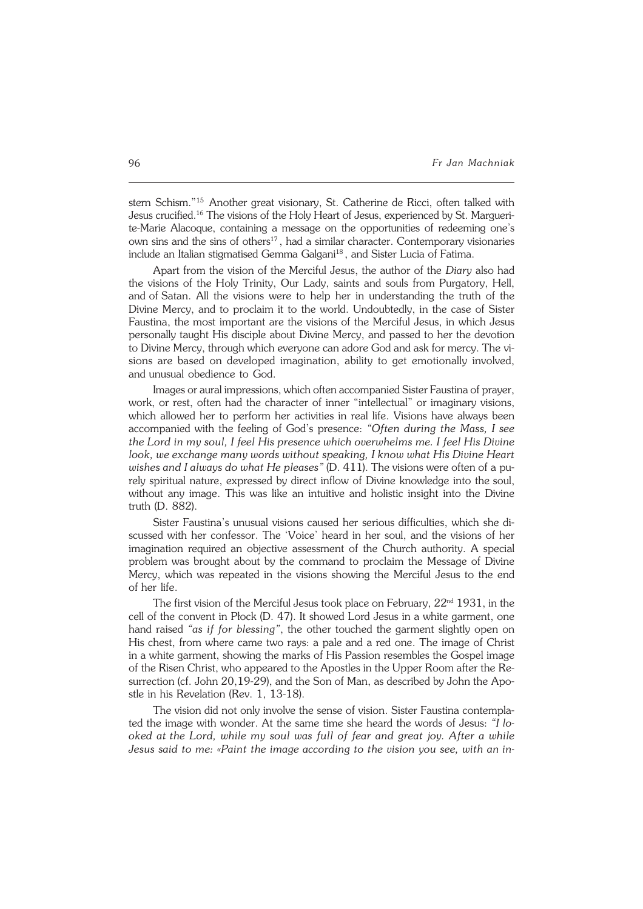stern Schism." <sup>15</sup> Another great visionary, St. Catherine de Ricci, often talked with Jesus crucified.<sup>16</sup> The visions of the Holy Heart of Jesus, experienced by St. Marguerite−Marie Alacoque, containing a message on the opportunities of redeeming one's own sins and the sins of others<sup>17</sup>, had a similar character. Contemporary visionaries include an Italian stigmatised Gemma Galgani<sup>18</sup>, and Sister Lucia of Fatima.

Apart from the vision of the Merciful Jesus, the author of the *Diary* also had the visions of the Holy Trinity, Our Lady, saints and souls from Purgatory, Hell, and of Satan. All the visions were to help her in understanding the truth of the Divine Mercy, and to proclaim it to the world. Undoubtedly, in the case of Sister Faustina, the most important are the visions of the Merciful Jesus, in which Jesus personally taught His disciple about Divine Mercy, and passed to her the devotion to Divine Mercy, through which everyone can adore God and ask for mercy. The visions are based on developed imagination, ability to get emotionally involved, andunusual obedience to God.

Images or aural impressions, which often accompanied Sister Faustina of prayer, work, or rest, often had the character of inner "intellectual" or imaginary visions, which allowed her to perform her activities in real life. Visions have always been accompanied with the feeling of God's presence: *"Often during the Mass, I see the Lord in my soul, I feel His presence which overwhelms me. I feel His Divine look, we exchange many words without speaking, I know what His Divine Heart wishes and I always do what He pleases*" (D. 411). The visions were often of a pu− rely spiritual nature, expressed by direct inflow of Divine knowledge into the soul, without any image. This was like an intuitive and holistic insight into the Divine truth (D. 882).

Sister Faustina's unusual visions caused her serious difficulties, which she di− scussed with her confessor. The 'Voice' heard in her soul, and the visions of her imagination required an objective assessment of the Church authority. A special problem was brought about by the command to proclaim the Message of Divine Mercy, which was repeated in the visions showing the Merciful Jesus to the end of her life.

The first vision of the Merciful Jesus took place on February,  $22<sup>nd</sup> 1931$ , in the cell of the convent in Płock (D. 47). It showed Lord Jesus in a white garment, one hand raised *"as if for blessing"*, the other touched the garment slightly open on His chest, from where came two rays: a pale and a red one. The image of Christ in a white garment, showing the marks of His Passion resembles the Gospel image of the Risen Christ, who appeared to the Apostles in the Upper Room after the Re− surrection (cf. John 20,19−29), and the Son of Man, as described by John the Apostle in his Revelation (Rev. 1, 13−18).

The vision did not only involve the sense of vision. Sister Faustina contempla− ted the image with wonder. At the same time she heard the words of Jesus: *"Ilo− oked atthe Lord, while my soul was full of fear and great joy. After a while Jesus said to me: «Paint the image according to the vision you see, with anin−*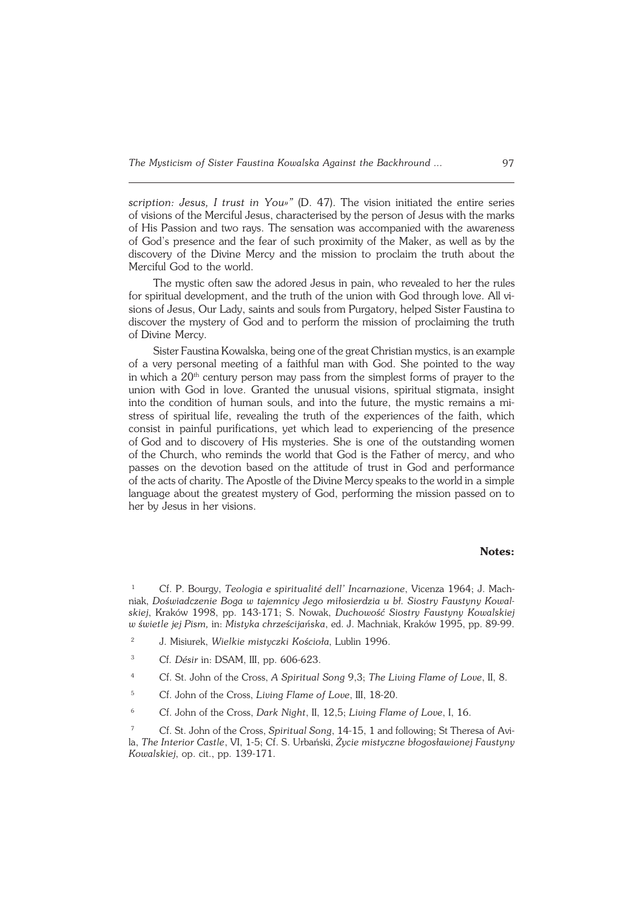*scription: Jesus, I trust in You»"* (D. 47). The vision initiated the entire series of visions of the Merciful Jesus, characterised by the person of Jesus with the marks of His Passion and two rays. The sensation was accompanied with the awareness of God's presence and the fear of such proximity of the Maker, as well as by the discovery of the Divine Mercy and the mission to proclaim the truth about the Merciful God to the world.

The mystic often saw the adored Jesus in pain, who revealed to her the rules for spiritual development, and the truth of the union with God through love. All visions of Jesus, Our Lady, saints and souls from Purgatory, helped Sister Faustina to discover the mystery of God and to perform the mission of proclaiming the truth of Divine Mercy.

Sister Faustina Kowalska, being one of the great Christian mystics, is an example of a very personal meeting of a faithful man with God. She pointed to the way in which a  $20<sup>th</sup>$  century person may pass from the simplest forms of prayer to the union with God in love. Granted the unusual visions, spiritual stigmata, insight into the condition of human souls, and into the future, the mystic remains a mi− stress of spiritual life, revealing the truth of the experiences of the faith, which consist in painful purifications, yet which lead to experiencing of the presence of God and to discovery of His mysteries. She is one of the outstanding women of the Church, who reminds the world that God is the Father of mercy, and who passes on the devotion based onthe attitude of trust in God and performance of the acts of charity. The Apostle of the Divine Mercy speaks to the world in a simple language about the greatest mystery of God, performing the mission passed on to her by Jesus in her visions.

#### **Notes:**

<sup>1</sup> Cf. P. Bourgy, *Teologia e spiritualité dell' Incarnazione*, Vicenza 1964; J. Mach− niak, *Doświadczenie Boga w tajemnicy Jego miłosierdzia u bł. Siostry Faustyny Kowal− skiej*, Kraków 1998, pp. 143−171; S. Nowak, *Duchowość Siostry Faustyny Kowalskiej wświetle jej Pism,* in: *Mistyka chrześcijańska*, ed. J. Machniak, Kraków 1995, pp. 89−99.

- <sup>2</sup> J. Misiurek, *Wielkie mistyczki Kościoła*, Lublin 1996.
- <sup>3</sup> Cf*. Désir* in: DSAM, III, pp. 606−623.
- <sup>4</sup> Cf. St. John of the Cross, *A Spiritual Song* 9,3; *The Living Flame of Love*, II, 8.
- <sup>5</sup> Cf. John of the Cross, *Living Flame of Love*, III, 18−20.
- <sup>6</sup> Cf. John of the Cross, *Dark Night*, II, 12,5; *Living Flame of Love*, I, 16.

<sup>7</sup> Cf. St. John of the Cross, *Spiritual Song*, 14−15, 1 and following; St Theresa ofAvi− la, *The Interior Castle*, VI, 1−5; Cf. S. Urbański, *Życie mistyczne błogosławionej Faustyny Kowalskiej*, op. cit., pp. 139−171.